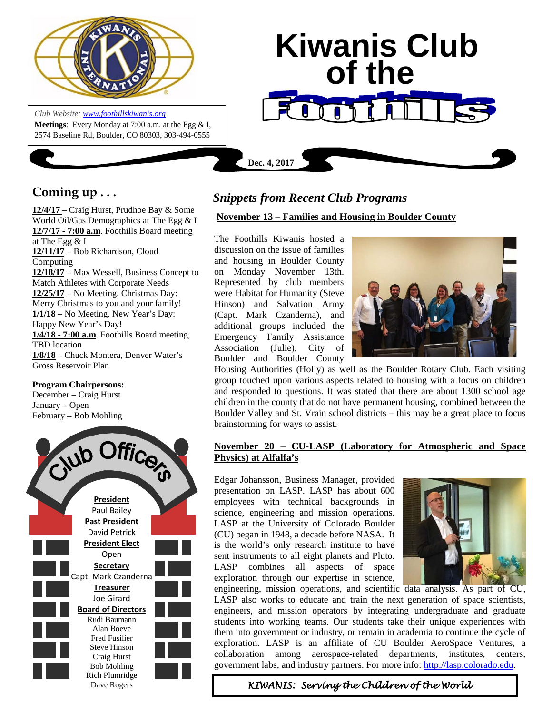

*Club Website: [www.foothillskiwanis.org](file:///C:\Users\Bob\AppData\Local\Microsoft\Windows\Temporary%20Internet%20Files\Bob\AppData\Local\Microsoft\Users\Users\Bob\AppData\Local\Microsoft\Users\Bob\AppData\Local\Microsoft\Users\Bob\AppData\Local\Microsoft\Users\Bob\AppData\Local\Microsoft\Users\Bob\AppData\Local\Microsoft\Documents%20and%20Settings\Users\Bob\AppData\Local\Microsoft\Windows\Temporary%20Internet%20Files\AppData\Local\Microsoft\Windows\Temporary%20Internet%20Files\AppData\Local\Microsoft\Documents%20and%20Settings\Kerry%20Hassler\Users\Hugh\AppData\AppData\Local\Microsoft\Documents%20and%20Settings\AppData\Local\Temp\www.foothillskiwanis.org)* **Meetings**: Every Monday at 7:00 a.m. at the Egg & I, 2574 Baseline Rd, Boulder, CO 80303, 303-494-0555

# **Kiwanis Club of the Dec. 4, 2017**

# **Coming up . . .**

**12/4/17** – Craig Hurst, Prudhoe Bay & Some World Oil/Gas Demographics at The Egg & I **12/7/17 - 7:00 a.m**. Foothills Board meeting at The Egg & I **12/11/17** – Bob Richardson, Cloud Computing **12/18/17** – Max Wessell, Business Concept to Match Athletes with Corporate Needs **12/25/17** – No Meeting. Christmas Day: Merry Christmas to you and your family! **1/1/18** – No Meeting. New Year's Day: Happy New Year's Day! **1/4/18 - 7:00 a.m**. Foothills Board meeting, TBD location **1/8/18** – Chuck Montera, Denver Water's Gross Reservoir Plan

# **Program Chairpersons:**

December – Craig Hurst January – Open February – Bob Mohling



# *Snippets from Recent Club Programs*

# **November 13 – Families and Housing in Boulder County**

The Foothills Kiwanis hosted a discussion on the issue of families and housing in Boulder County on Monday November 13th. Represented by club members were Habitat for Humanity (Steve Hinson) and Salvation Army (Capt. Mark Czanderna), and additional groups included the Emergency Family Assistance Association (Julie), City of Boulder and Boulder County



Housing Authorities (Holly) as well as the Boulder Rotary Club. Each visiting group touched upon various aspects related to housing with a focus on children and responded to questions. It was stated that there are about 1300 school age children in the county that do not have permanent housing, combined between the Boulder Valley and St. Vrain school districts – this may be a great place to focus brainstorming for ways to assist.

# **November 20 – CU-LASP (Laboratory for Atmospheric and Space Physics) at Alfalfa's**

Edgar Johansson, Business Manager, provided presentation on LASP. LASP has about 600 employees with technical backgrounds in science, engineering and mission operations. LASP at the University of Colorado Boulder (CU) began in 1948, a decade before NASA. It is the world's only research institute to have sent instruments to all eight planets and Pluto. LASP combines all aspects of space exploration through our expertise in science,



engineering, mission operations, and scientific data analysis. As part of CU, LASP also works to educate and train the next generation of space scientists, engineers, and mission operators by integrating undergraduate and graduate students into working teams. Our students take their unique experiences with them into government or industry, or remain in academia to continue the cycle of exploration. LASP is an affiliate of CU Boulder AeroSpace Ventures, a collaboration among aerospace-related departments, institutes, centers, government labs, and industry partners. For more info: [http://lasp.colorado.edu.](http://lasp.colorado.edu/)

 *KIWANIS: Serving the Children of the World*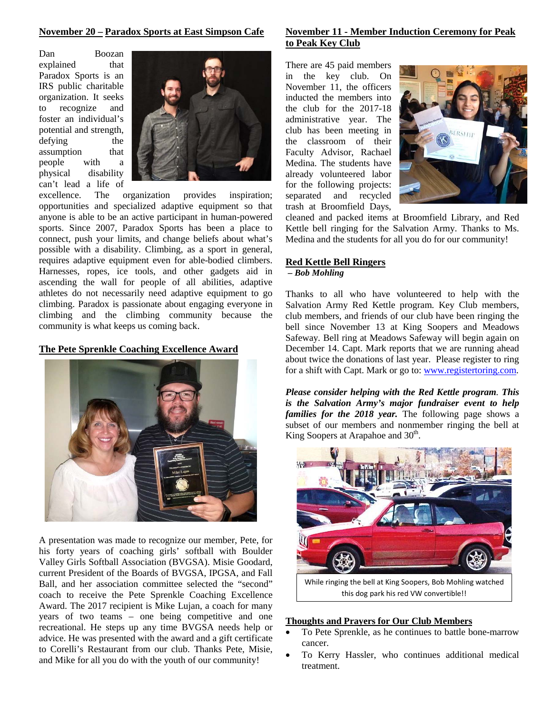#### **November 20 – Paradox Sports at East Simpson Cafe**

Dan Boozan explained that Paradox Sports is an IRS public charitable organization. It seeks recognize and foster an individual's potential and strength, defying the assumption that people with a physical disability can't lead a life of



excellence. The organization provides inspiration; opportunities and specialized adaptive equipment so that anyone is able to be an active participant in human-powered sports. Since 2007, Paradox Sports has been a place to connect, push your limits, and change beliefs about what's possible with a disability. Climbing, as a sport in general, requires adaptive equipment even for able-bodied climbers. Harnesses, ropes, ice tools, and other gadgets aid in ascending the wall for people of all abilities, adaptive athletes do not necessarily need adaptive equipment to go climbing. Paradox is passionate about engaging everyone in climbing and the climbing community because the community is what keeps us coming back.

# **The Pete Sprenkle Coaching Excellence Award**



A presentation was made to recognize our member, Pete, for his forty years of coaching girls' softball with Boulder Valley Girls Softball Association (BVGSA). Misie Goodard, current President of the Boards of BVGSA, IPGSA, and Fall Ball, and her association committee selected the "second" coach to receive the Pete Sprenkle Coaching Excellence Award. The 2017 recipient is Mike Lujan, a coach for many years of two teams – one being competitive and one recreational. He steps up any time BVGSA needs help or advice. He was presented with the award and a gift certificate to Corelli's Restaurant from our club. Thanks Pete, Misie, and Mike for all you do with the youth of our community!

# **November 11 - Member Induction Ceremony for Peak to Peak Key Club**

There are 45 paid members in the key club. On November 11, the officers inducted the members into the club for the 2017-18 administrative year. The club has been meeting in the classroom of their Faculty Advisor, Rachael Medina. The students have already volunteered labor for the following projects: separated and recycled trash at Broomfield Days,



cleaned and packed items at Broomfield Library, and Red Kettle bell ringing for the Salvation Army. Thanks to Ms. Medina and the students for all you do for our community!

#### **Red Kettle Bell Ringers**

# *– Bob Mohling*

Thanks to all who have volunteered to help with the Salvation Army Red Kettle program. Key Club members, club members, and friends of our club have been ringing the bell since November 13 at King Soopers and Meadows Safeway. Bell ring at Meadows Safeway will begin again on December 14. Capt. Mark reports that we are running ahead about twice the donations of last year. Please register to ring for a shift with Capt. Mark or go to: [www.registertoring.com.](http://www.registertoring.com/)

*Please consider helping with the Red Kettle program. This is the Salvation Army's major fundraiser event to help families for the 2018 year.* The following page shows a subset of our members and nonmember ringing the bell at King Soopers at Arapahoe and  $30<sup>th</sup>$ .



#### **Thoughts and Prayers for Our Club Members**

- To Pete Sprenkle, as he continues to battle bone-marrow cancer.
- To Kerry Hassler, who continues additional medical treatment.